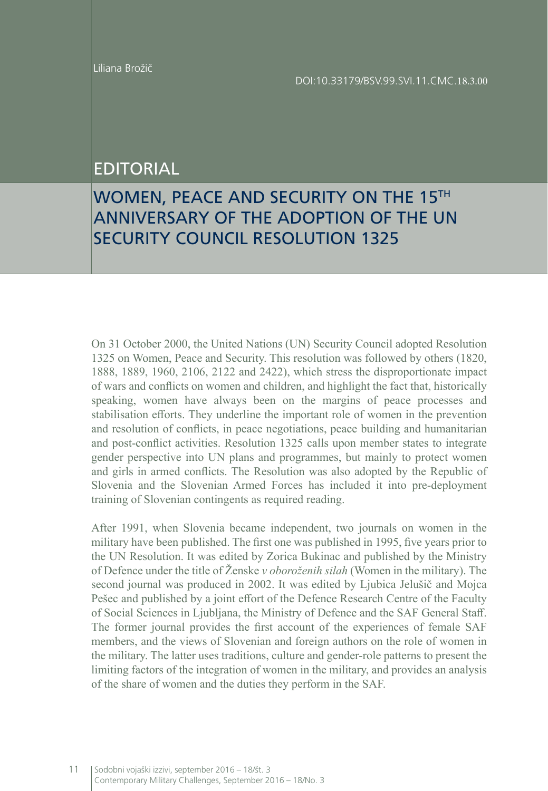## EDITORIAL

## WOMEN, PEACE AND SECURITY ON THE 15TH ANNIVERSARY OF THE ADOPTION OF THE UN SECURITY COUNCIL RESOLUTION 1325

On 31 October 2000, the United Nations (UN) Security Council adopted Resolution 1325 on Women, Peace and Security. This resolution was followed by others (1820, 1888, 1889, 1960, 2106, 2122 and 2422), which stress the disproportionate impact of wars and conflicts on women and children, and highlight the fact that, historically speaking, women have always been on the margins of peace processes and stabilisation efforts. They underline the important role of women in the prevention and resolution of conflicts, in peace negotiations, peace building and humanitarian and post-conflict activities. Resolution 1325 calls upon member states to integrate gender perspective into UN plans and programmes, but mainly to protect women and girls in armed conflicts. The Resolution was also adopted by the Republic of Slovenia and the Slovenian Armed Forces has included it into pre-deployment training of Slovenian contingents as required reading.

After 1991, when Slovenia became independent, two journals on women in the military have been published. The first one was published in 1995, five years prior to the UN Resolution. It was edited by Zorica Bukinac and published by the Ministry of Defence under the title of Ženske *v oboroženih silah* (Women in the military). The second journal was produced in 2002. It was edited by Ljubica Jelušič and Mojca Pešec and published by a joint effort of the Defence Research Centre of the Faculty of Social Sciences in Ljubljana, the Ministry of Defence and the SAF General Staff. The former journal provides the first account of the experiences of female SAF members, and the views of Slovenian and foreign authors on the role of women in the military. The latter uses traditions, culture and gender-role patterns to present the limiting factors of the integration of women in the military, and provides an analysis of the share of women and the duties they perform in the SAF.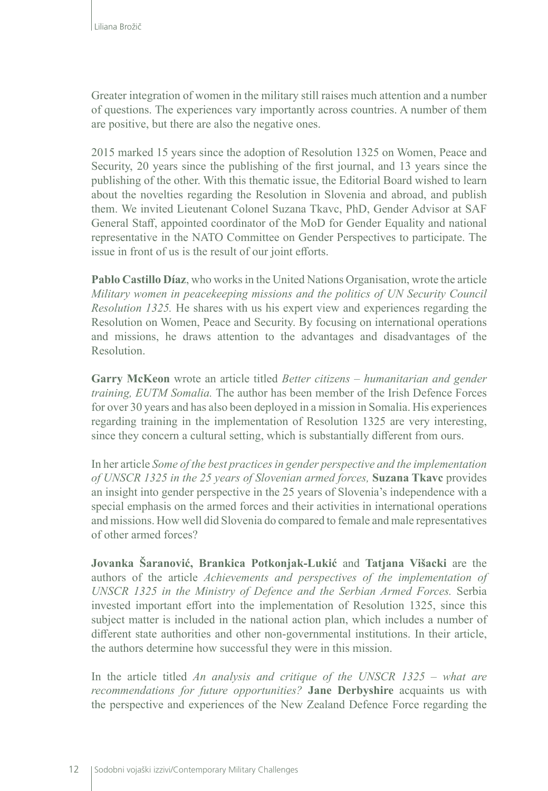Greater integration of women in the military still raises much attention and a number of questions. The experiences vary importantly across countries. A number of them are positive, but there are also the negative ones.

2015 marked 15 years since the adoption of Resolution 1325 on Women, Peace and Security, 20 years since the publishing of the first journal, and 13 years since the publishing of the other. With this thematic issue, the Editorial Board wished to learn about the novelties regarding the Resolution in Slovenia and abroad, and publish them. We invited Lieutenant Colonel Suzana Tkavc, PhD, Gender Advisor at SAF General Staff, appointed coordinator of the MoD for Gender Equality and national representative in the NATO Committee on Gender Perspectives to participate. The issue in front of us is the result of our joint efforts.

**Pablo Castillo Díaz**, who works in the United Nations Organisation, wrote the article *Military women in peacekeeping missions and the politics of UN Security Council Resolution 1325.* He shares with us his expert view and experiences regarding the Resolution on Women, Peace and Security. By focusing on international operations and missions, he draws attention to the advantages and disadvantages of the Resolution.

**Garry McKeon** wrote an article titled *Better citizens – humanitarian and gender training, EUTM Somalia.* The author has been member of the Irish Defence Forces for over 30 years and has also been deployed in a mission in Somalia. His experiences regarding training in the implementation of Resolution 1325 are very interesting, since they concern a cultural setting, which is substantially different from ours.

In her article *Some of the best practices in gender perspective and the implementation of UNSCR 1325 in the 25 years of Slovenian armed forces,* **Suzana Tkavc** provides an insight into gender perspective in the 25 years of Slovenia's independence with a special emphasis on the armed forces and their activities in international operations and missions. How well did Slovenia do compared to female and male representatives of other armed forces?

**Jovanka Šaranović, Brankica Potkonjak-Lukić** and **Tatjana Višacki** are the authors of the article *Achievements and perspectives of the implementation of UNSCR 1325 in the Ministry of Defence and the Serbian Armed Forces.* Serbia invested important effort into the implementation of Resolution 1325, since this subject matter is included in the national action plan, which includes a number of different state authorities and other non-governmental institutions. In their article, the authors determine how successful they were in this mission.

In the article titled *An analysis and critique of the UNSCR 1325 – what are recommendations for future opportunities?* **Jane Derbyshire** acquaints us with the perspective and experiences of the New Zealand Defence Force regarding the